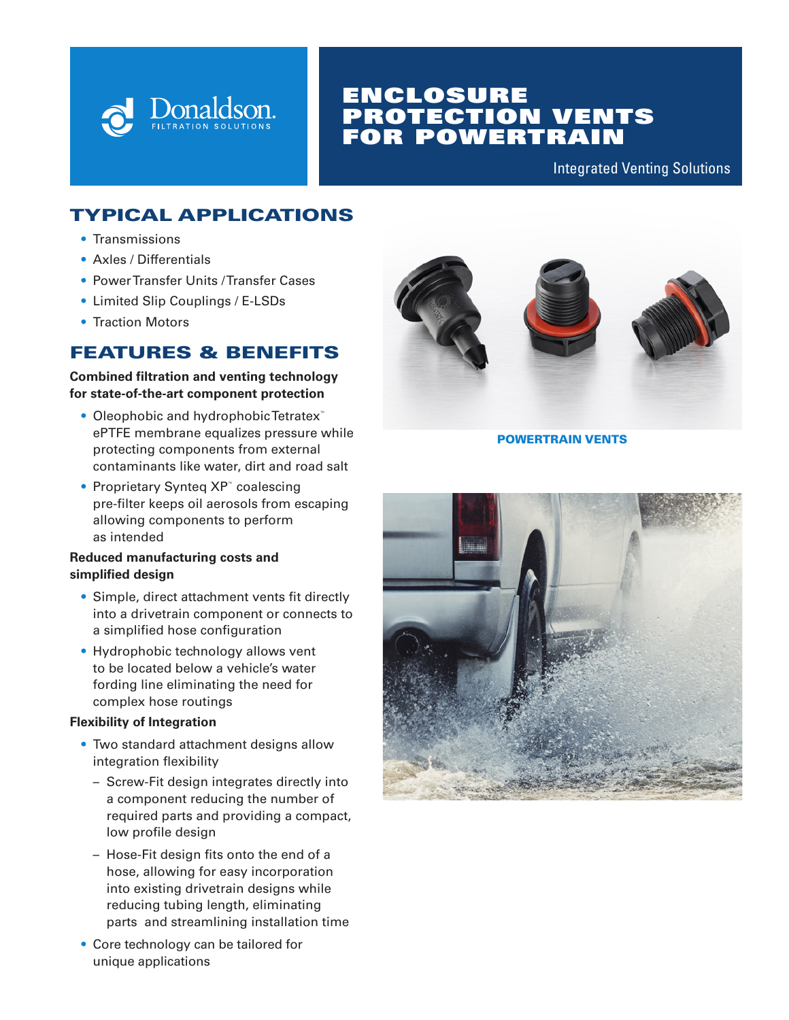

# ENCLOSURE PROTECTION VENTS FOR POWERTRAIN

Integrated Venting Solutions

## TYPICAL APPLICATIONS

- Transmissions
- Axles / Differentials
- Power Transfer Units / Transfer Cases
- Limited Slip Couplings / E-LSDs
- Traction Motors

### FEATURES & BENEFITS

#### **Combined filtration and venting technology for state-of-the-art component protection**

- Oleophobic and hydrophobic Tetratex<sup>™</sup> ePTFE membrane equalizes pressure while protecting components from external contaminants like water, dirt and road salt
- Proprietary Synteq XP™ coalescing pre-filter keeps oil aerosols from escaping allowing components to perform as intended

### **Reduced manufacturing costs and simplified design**

- Simple, direct attachment vents fit directly into a drivetrain component or connects to a simplified hose configuration
- Hydrophobic technology allows vent to be located below a vehicle's water fording line eliminating the need for complex hose routings

### **Flexibility of Integration**

- Two standard attachment designs allow integration flexibility
	- Screw-Fit design integrates directly into a component reducing the number of required parts and providing a compact, low profile design
	- Hose-Fit design fits onto the end of a hose, allowing for easy incorporation into existing drivetrain designs while reducing tubing length, eliminating parts and streamlining installation time
- Core technology can be tailored for unique applications



POWERTRAIN VENTS

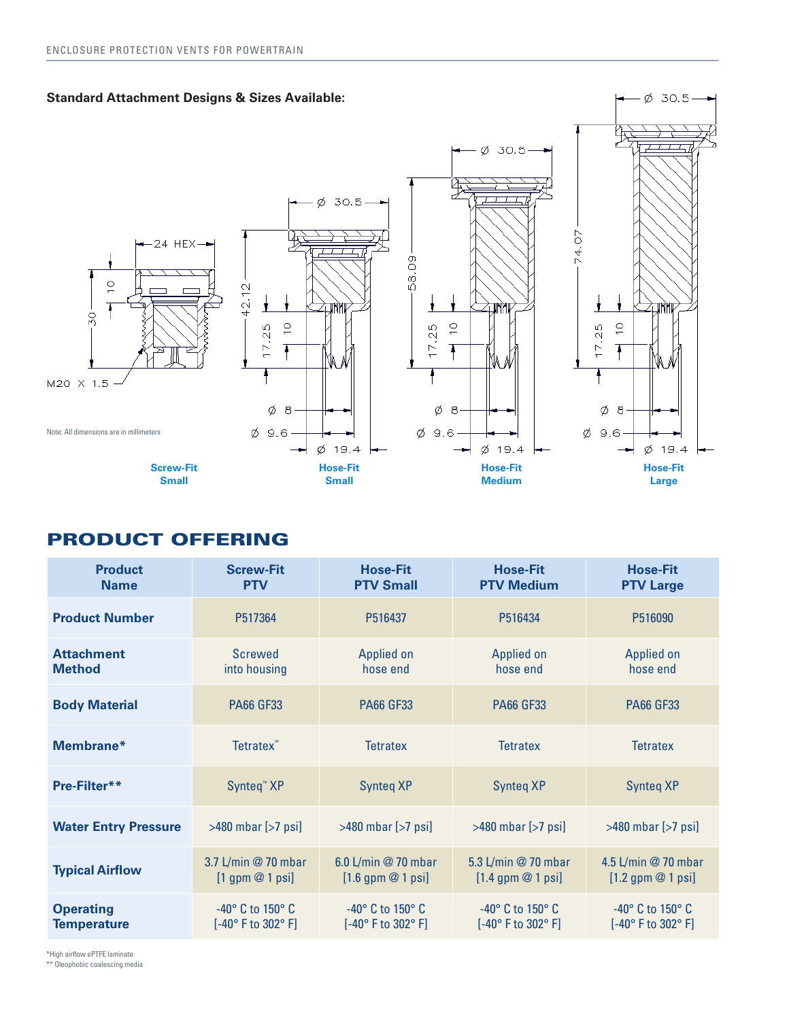

## PRODUCT OFFERING

| <b>Product</b><br><b>Name</b>          | <b>Screw-Fit</b><br><b>PTV</b>                                 | <b>Hose-Fit</b><br><b>PTV Small</b>                   | <b>Hose-Fit</b><br><b>PTV Medium</b>                           | <b>Hose-Fit</b><br><b>PTV Large</b>                   |
|----------------------------------------|----------------------------------------------------------------|-------------------------------------------------------|----------------------------------------------------------------|-------------------------------------------------------|
| <b>Product Number</b>                  | P517364                                                        | P516437                                               | P516434                                                        | P516090                                               |
| <b>Attachment</b><br><b>Method</b>     | <b>Screwed</b><br>into housing                                 | <b>Applied on</b><br>hose end                         | Applied on<br>hose end                                         | <b>Applied on</b><br>hose end                         |
| <b>Body Material</b>                   | <b>PA66 GF33</b>                                               | <b>PA66 GF33</b>                                      | <b>PA66 GF33</b>                                               | <b>PA66 GF33</b>                                      |
| Membrane*                              | Tetratex <sup>™</sup>                                          | <b>Tetratex</b>                                       | <b>Tetratex</b>                                                | <b>Tetratex</b>                                       |
| Pre-Filter**                           | Synteq <sup>™</sup> XP                                         | <b>Synteg XP</b>                                      | <b>Synteg XP</b>                                               | <b>Synteg XP</b>                                      |
| <b>Water Entry Pressure</b>            | $>480$ mbar $[>7$ psi]                                         | $>480$ mbar $[>7$ psi]                                | $>480$ mbar $[>7$ psi]                                         | $>480$ mbar $[>7$ psi]                                |
| <b>Typical Airflow</b>                 | 3.7 L/min @ 70 mbar<br>$[1$ gpm $@$ 1 psi]                     | 6.0 L/min @ 70 mbar<br>$[1.6$ gpm $@$ 1 psi]          | 5.3 L/min @ 70 mbar<br>$[1.4$ gpm $@$ 1 psi]                   | 4.5 L/min @ 70 mbar<br>$[1.2$ gpm $@$ 1 psi]          |
| <b>Operating</b><br><b>Temperature</b> | $-40^\circ$ C to 150 $^\circ$ C<br>$[-40^{\circ}$ F to 302° F] | $-40^\circ$ C to 150 $^\circ$ C<br>[-40° F to 302° F] | $-40^\circ$ C to 150 $^\circ$ C<br>$[-40^{\circ}$ F to 302° F] | $-40^\circ$ C to 150 $^\circ$ C<br>[-40° F to 302° F] |

\*High airflow ePTFE laminate

\*\* Oleophobic coalescing media